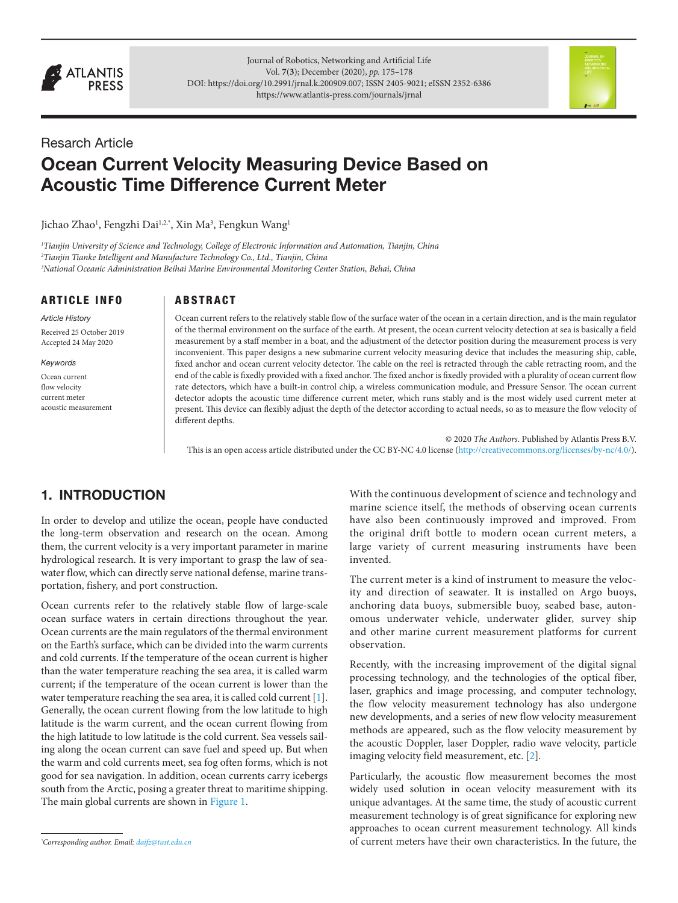

Journal of Robotics, Networking and Artificial Life Vol. **7**(**3**); December (2020), *pp.* 175–178 DOI: [https://doi.org/10.2991/jrnal.k.200909.007;](https://doi.org/10.2991/jrnal.k.200909.007) ISSN 2405-9021; eISSN 2352-6386 <https://www.atlantis-press.com/journals/jrnal>

# Resarch Article

# Ocean Current Velocity Measuring Device Based on Acoustic Time Difference Current Meter

Jichao Zhao<sup>1</sup>, Fengzhi Dai<sup>1,2,\*</sup>, Xin Ma<sup>3</sup>, Fengkun Wang<sup>1</sup>

*1 Tianjin University of Science and Technology, College of Electronic Information and Automation, Tianjin, China 2 Tianjin Tianke Intelligent and Manufacture Technology Co., Ltd., Tianjin, China 3 National Oceanic Administration Beihai Marine Environmental Monitoring Center Station, Behai, China*

#### ARTICLE INFO

*Article History* Received 25 October 2019 Accepted 24 May 2020

#### *Keywords*

Ocean current flow velocity current meter acoustic measurement

#### ABSTRACT

Ocean current refers to the relatively stable flow of the surface water of the ocean in a certain direction, and is the main regulator of the thermal environment on the surface of the earth. At present, the ocean current velocity detection at sea is basically a field measurement by a staff member in a boat, and the adjustment of the detector position during the measurement process is very inconvenient. This paper designs a new submarine current velocity measuring device that includes the measuring ship, cable, fixed anchor and ocean current velocity detector. The cable on the reel is retracted through the cable retracting room, and the end of the cable is fixedly provided with a fixed anchor. The fixed anchor is fixedly provided with a plurality of ocean current flow rate detectors, which have a built-in control chip, a wireless communication module, and Pressure Sensor. The ocean current detector adopts the acoustic time difference current meter, which runs stably and is the most widely used current meter at present. This device can flexibly adjust the depth of the detector according to actual needs, so as to measure the flow velocity of different depths.

© 2020 *The Authors*. Published by Atlantis Press B.V. This is an open access article distributed under the CC BY-NC 4.0 license ([http://creativecommons.org/licenses/by-nc/4.0/\)](http://http://creativecommons.org/licenses/by-nc/4.0/).

# 1. INTRODUCTION

In order to develop and utilize the ocean, people have conducted the long-term observation and research on the ocean. Among them, the current velocity is a very important parameter in marine hydrological research. It is very important to grasp the law of seawater flow, which can directly serve national defense, marine transportation, fishery, and port construction.

Ocean currents refer to the relatively stable flow of large-scale ocean surface waters in certain directions throughout the year. Ocean currents are the main regulators of the thermal environment on the Earth's surface, which can be divided into the warm currents and cold currents. If the temperature of the ocean current is higher than the water temperature reaching the sea area, it is called warm current; if the temperature of the ocean current is lower than the water temperature reaching the sea area, it is called cold current [[1\]](#page-3-0). Generally, the ocean current flowing from the low latitude to high latitude is the warm current, and the ocean current flowing from the high latitude to low latitude is the cold current. Sea vessels sailing along the ocean current can save fuel and speed up. But when the warm and cold currents meet, sea fog often forms, which is not good for sea navigation. In addition, ocean currents carry icebergs south from the Arctic, posing a greater threat to maritime shipping. The main global currents are shown in [Figure 1.](#page-1-0)

With the continuous development of science and technology and marine science itself, the methods of observing ocean currents have also been continuously improved and improved. From the original drift bottle to modern ocean current meters, a large variety of current measuring instruments have been invented.

The current meter is a kind of instrument to measure the velocity and direction of seawater. It is installed on Argo buoys, anchoring data buoys, submersible buoy, seabed base, autonomous underwater vehicle, underwater glider, survey ship and other marine current measurement platforms for current observation.

<span id="page-0-0"></span>Recently, with the increasing improvement of the digital signal processing technology, and the technologies of the optical fiber, laser, graphics and image processing, and computer technology, the flow velocity measurement technology has also undergone new developments, and a series of new flow velocity measurement methods are appeared, such as the flow velocity measurement by the acoustic Doppler, laser Doppler, radio wave velocity, particle imaging velocity field measurement, etc. [\[2](#page-3-1)].

<span id="page-0-1"></span>Particularly, the acoustic flow measurement becomes the most widely used solution in ocean velocity measurement with its unique advantages. At the same time, the study of acoustic current measurement technology is of great significance for exploring new approaches to ocean current measurement technology. All kinds of current meters have their own characteristics. In the future, the

*<sup>\*</sup> Corresponding author. Email: [daifz@tust.edu.cn](mailto:daifz%40tust.edu.cn?subject=)*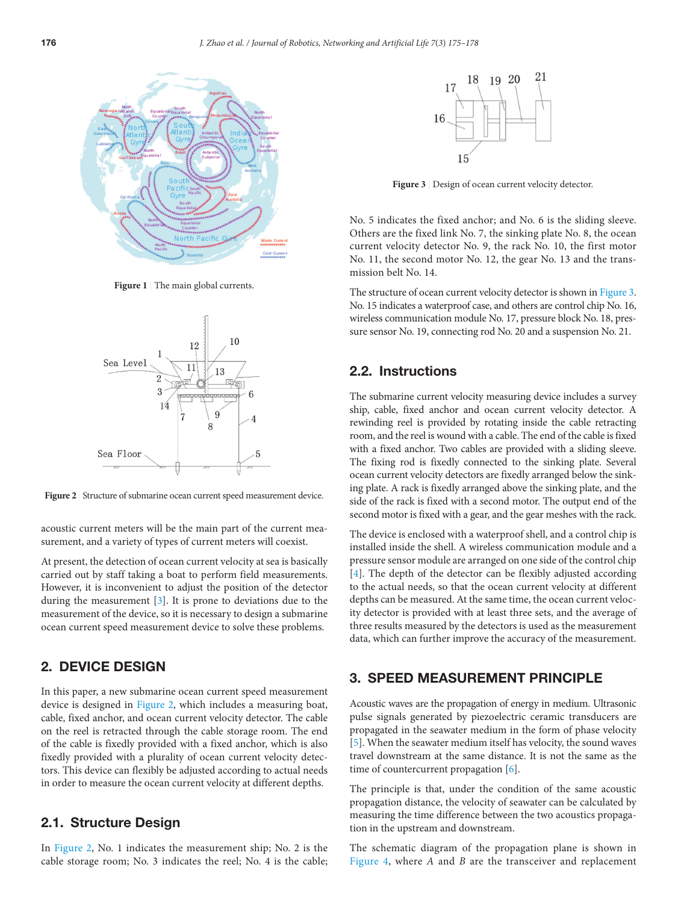

<span id="page-1-0"></span>**Figure 1** | The main global currents.



<span id="page-1-1"></span>Figure 2 Structure of submarine ocean current speed measurement device.

acoustic current meters will be the main part of the current measurement, and a variety of types of current meters will coexist.

At present, the detection of ocean current velocity at sea is basically carried out by staff taking a boat to perform field measurements. However, it is inconvenient to adjust the position of the detector during the measurement [\[3\]](#page-3-2). It is prone to deviations due to the measurement of the device, so it is necessary to design a submarine ocean current speed measurement device to solve these problems.

# 2. DEVICE DESIGN

In this paper, a new submarine ocean current speed measurement device is designed in [Figure 2](#page-1-1), which includes a measuring boat, cable, fixed anchor, and ocean current velocity detector. The cable on the reel is retracted through the cable storage room. The end of the cable is fixedly provided with a fixed anchor, which is also fixedly provided with a plurality of ocean current velocity detectors. This device can flexibly be adjusted according to actual needs in order to measure the ocean current velocity at different depths.

### 2.1. Structure Design

In [Figure 2,](#page-1-1) No. 1 indicates the measurement ship; No. 2 is the cable storage room; No. 3 indicates the reel; No. 4 is the cable;



<span id="page-1-2"></span>Figure 3 | Design of ocean current velocity detector.

No. 5 indicates the fixed anchor; and No. 6 is the sliding sleeve. Others are the fixed link No. 7, the sinking plate No. 8, the ocean current velocity detector No. 9, the rack No. 10, the first motor No. 11, the second motor No. 12, the gear No. 13 and the transmission belt No. 14.

The structure of ocean current velocity detector is shown in [Figure 3](#page-1-2). No. 15 indicates a waterproof case, and others are control chip No. 16, wireless communication module No. 17, pressure block No. 18, pressure sensor No. 19, connecting rod No. 20 and a suspension No. 21.

#### 2.2. Instructions

The submarine current velocity measuring device includes a survey ship, cable, fixed anchor and ocean current velocity detector. A rewinding reel is provided by rotating inside the cable retracting room, and the reel is wound with a cable. The end of the cable is fixed with a fixed anchor. Two cables are provided with a sliding sleeve. The fixing rod is fixedly connected to the sinking plate. Several ocean current velocity detectors are fixedly arranged below the sinking plate. A rack is fixedly arranged above the sinking plate, and the side of the rack is fixed with a second motor. The output end of the second motor is fixed with a gear, and the gear meshes with the rack.

<span id="page-1-4"></span><span id="page-1-3"></span>The device is enclosed with a waterproof shell, and a control chip is installed inside the shell. A wireless communication module and a pressure sensor module are arranged on one side of the control chip [[4](#page-3-3)]. The depth of the detector can be flexibly adjusted according to the actual needs, so that the ocean current velocity at different depths can be measured. At the same time, the ocean current velocity detector is provided with at least three sets, and the average of three results measured by the detectors is used as the measurement data, which can further improve the accuracy of the measurement.

# 3. SPEED MEASUREMENT PRINCIPLE

<span id="page-1-5"></span>Acoustic waves are the propagation of energy in medium. Ultrasonic pulse signals generated by piezoelectric ceramic transducers are propagated in the seawater medium in the form of phase velocity [[5](#page-3-4)]. When the seawater medium itself has velocity, the sound waves travel downstream at the same distance. It is not the same as the time of countercurrent propagation [\[6\]](#page-3-5).

<span id="page-1-6"></span>The principle is that, under the condition of the same acoustic propagation distance, the velocity of seawater can be calculated by measuring the time difference between the two acoustics propagation in the upstream and downstream.

The schematic diagram of the propagation plane is shown in [Figure 4](#page-2-0), where *A* and *B* are the transceiver and replacement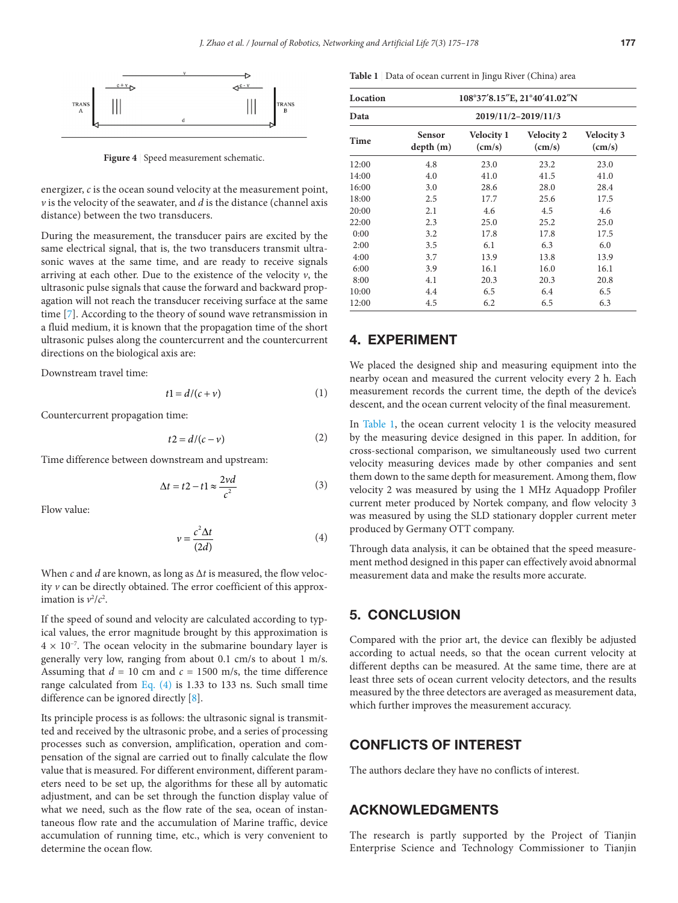

<span id="page-2-0"></span>**Figure 4** | Speed measurement schematic.

energizer, *c* is the ocean sound velocity at the measurement point,  $\nu$  is the velocity of the seawater, and  $d$  is the distance (channel axis distance) between the two transducers.

During the measurement, the transducer pairs are excited by the same electrical signal, that is, the two transducers transmit ultrasonic waves at the same time, and are ready to receive signals arriving at each other. Due to the existence of the velocity  $v$ , the ultrasonic pulse signals that cause the forward and backward propagation will not reach the transducer receiving surface at the same time [[7](#page-3-6)]. According to the theory of sound wave retransmission in a fluid medium, it is known that the propagation time of the short ultrasonic pulses along the countercurrent and the countercurrent directions on the biological axis are:

<span id="page-2-2"></span>Downstream travel time:

$$
t1 = d/(c + v) \tag{1}
$$

Countercurrent propagation time:

$$
t2 = d/(c - v) \tag{2}
$$

Time difference between downstream and upstream:

$$
\Delta t = t2 - t1 \approx \frac{2vd}{c^2} \tag{3}
$$

Flow value:

$$
\nu = \frac{c^2 \Delta t}{(2d)}\tag{4}
$$

When *c* and *d* are known, as long as Δ*t* is measured, the flow velocity *v* can be directly obtained. The error coefficient of this approximation is  $v^2/c^2$ .

If the speed of sound and velocity are calculated according to typical values, the error magnitude brought by this approximation is  $4 \times 10^{-7}$ . The ocean velocity in the submarine boundary layer is generally very low, ranging from about 0.1 cm/s to about 1 m/s. Assuming that  $d = 10$  cm and  $c = 1500$  m/s, the time difference range calculated from Eq. (4) is 1.33 to 133 ns. Such small time difference can be ignored directly [\[8\]](#page-3-7).

Its principle process is as follows: the ultrasonic signal is transmitted and received by the ultrasonic probe, and a series of processing processes such as conversion, amplification, operation and compensation of the signal are carried out to finally calculate the flow value that is measured. For different environment, different parameters need to be set up, the algorithms for these all by automatic adjustment, and can be set through the function display value of what we need, such as the flow rate of the sea, ocean of instantaneous flow rate and the accumulation of Marine traffic, device accumulation of running time, etc., which is very convenient to determine the ocean flow.

<span id="page-2-1"></span>**Table 1** | Data of ocean current in Jingu River (China) area

| Location |                           | 108°37'8.15"E, 21°40'41.02"N         |                                      |                                      |  |
|----------|---------------------------|--------------------------------------|--------------------------------------|--------------------------------------|--|
| Data     | 2019/11/2-2019/11/3       |                                      |                                      |                                      |  |
| Time     | <b>Sensor</b><br>depth(m) | <b>Velocity 1</b><br>$\text{(cm/s)}$ | <b>Velocity 2</b><br>$\text{(cm/s)}$ | <b>Velocity 3</b><br>$\text{(cm/s)}$ |  |
| 12:00    | 4.8                       | 23.0                                 | 23.2                                 | 23.0                                 |  |
| 14:00    | 4.0                       | 41.0                                 | 41.5                                 | 41.0                                 |  |
| 16:00    | 3.0                       | 28.6                                 | 28.0                                 | 28.4                                 |  |
| 18:00    | 2.5                       | 17.7                                 | 25.6                                 | 17.5                                 |  |
| 20:00    | 2.1                       | 4.6                                  | 4.5                                  | 4.6                                  |  |
| 22:00    | 2.3                       | 25.0                                 | 25.2                                 | 25.0                                 |  |
| 0:00     | 3.2                       | 17.8                                 | 17.8                                 | 17.5                                 |  |
| 2:00     | 3.5                       | 6.1                                  | 6.3                                  | 6.0                                  |  |
| 4:00     | 3.7                       | 13.9                                 | 13.8                                 | 13.9                                 |  |
| 6:00     | 3.9                       | 16.1                                 | 16.0                                 | 16.1                                 |  |
| 8:00     | 4.1                       | 20.3                                 | 20.3                                 | 20.8                                 |  |
| 10:00    | 4.4                       | 6.5                                  | 6.4                                  | 6.5                                  |  |
| 12:00    | 4.5                       | 6.2                                  | 6.5                                  | 6.3                                  |  |

### 4. EXPERIMENT

We placed the designed ship and measuring equipment into the nearby ocean and measured the current velocity every 2 h. Each measurement records the current time, the depth of the device's descent, and the ocean current velocity of the final measurement.

In [Table 1,](#page-2-1) the ocean current velocity 1 is the velocity measured by the measuring device designed in this paper. In addition, for cross-sectional comparison, we simultaneously used two current velocity measuring devices made by other companies and sent them down to the same depth for measurement. Among them, flow velocity 2 was measured by using the 1 MHz Aquadopp Profiler current meter produced by Nortek company, and flow velocity 3 was measured by using the SLD stationary doppler current meter produced by Germany OTT company.

Through data analysis, it can be obtained that the speed measurement method designed in this paper can effectively avoid abnormal measurement data and make the results more accurate.

#### 5. CONCLUSION

Compared with the prior art, the device can flexibly be adjusted according to actual needs, so that the ocean current velocity at different depths can be measured. At the same time, there are at least three sets of ocean current velocity detectors, and the results measured by the three detectors are averaged as measurement data, which further improves the measurement accuracy.

#### <span id="page-2-3"></span>CONFLICTS OF INTEREST

The authors declare they have no conflicts of interest.

#### ACKNOWLEDGMENTS

The research is partly supported by the Project of Tianjin Enterprise Science and Technology Commissioner to Tianjin